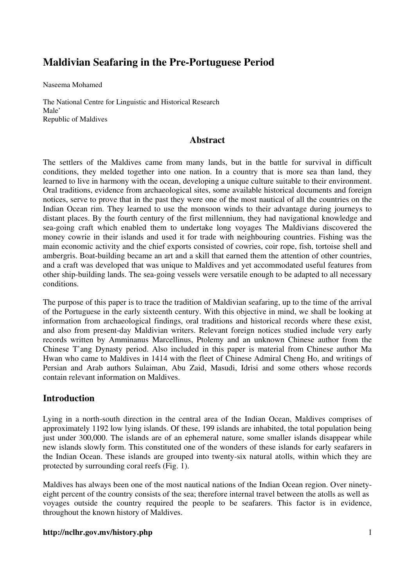# **Maldivian Seafaring in the Pre-Portuguese Period**

Naseema Mohamed

The National Centre for Linguistic and Historical Research Male' Republic of Maldives

# **Abstract**

The settlers of the Maldives came from many lands, but in the battle for survival in difficult conditions, they melded together into one nation. In a country that is more sea than land, they learned to live in harmony with the ocean, developing a unique culture suitable to their environment. Oral traditions, evidence from archaeological sites, some available historical documents and foreign notices, serve to prove that in the past they were one of the most nautical of all the countries on the Indian Ocean rim. They learned to use the monsoon winds to their advantage during journeys to distant places. By the fourth century of the first millennium, they had navigational knowledge and sea-going craft which enabled them to undertake long voyages The Maldivians discovered the money cowrie in their islands and used it for trade with neighbouring countries. Fishing was the main economic activity and the chief exports consisted of cowries, coir rope, fish, tortoise shell and ambergris. Boat-building became an art and a skill that earned them the attention of other countries, and a craft was developed that was unique to Maldives and yet accommodated useful features from other ship-building lands. The sea-going vessels were versatile enough to be adapted to all necessary conditions.

The purpose of this paper is to trace the tradition of Maldivian seafaring, up to the time of the arrival of the Portuguese in the early sixteenth century. With this objective in mind, we shall be looking at information from archaeological findings, oral traditions and historical records where these exist, and also from present-day Maldivian writers. Relevant foreign notices studied include very early records written by Amminanus Marcellinus, Ptolemy and an unknown Chinese author from the Chinese T'ang Dynasty period. Also included in this paper is material from Chinese author Ma Hwan who came to Maldives in 1414 with the fleet of Chinese Admiral Cheng Ho, and writings of Persian and Arab authors Sulaiman, Abu Zaid, Masudi, Idrisi and some others whose records contain relevant information on Maldives.

# **Introduction**

Lying in a north-south direction in the central area of the Indian Ocean, Maldives comprises of approximately 1192 low lying islands. Of these, 199 islands are inhabited, the total population being just under 300,000. The islands are of an ephemeral nature, some smaller islands disappear while new islands slowly form. This constituted one of the wonders of these islands for early seafarers in the Indian Ocean. These islands are grouped into twenty-six natural atolls, within which they are protected by surrounding coral reefs (Fig. 1).

Maldives has always been one of the most nautical nations of the Indian Ocean region. Over ninetyeight percent of the country consists of the sea; therefore internal travel between the atolls as well as voyages outside the country required the people to be seafarers. This factor is in evidence, throughout the known history of Maldives.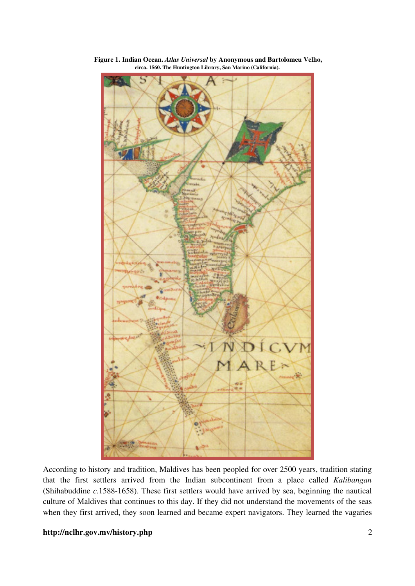

 **Figure 1. Indian Ocean.** *Atlas Universal* **by Anonymous and Bartolomeu Velho, circa. 1560. The Huntington Library, San Marino (California).** 

According to history and tradition, Maldives has been peopled for over 2500 years, tradition stating that the first settlers arrived from the Indian subcontinent from a place called *Kalibangan*  (Shihabuddine *c.*1588-1658). These first settlers would have arrived by sea, beginning the nautical culture of Maldives that continues to this day. If they did not understand the movements of the seas when they first arrived, they soon learned and became expert navigators. They learned the vagaries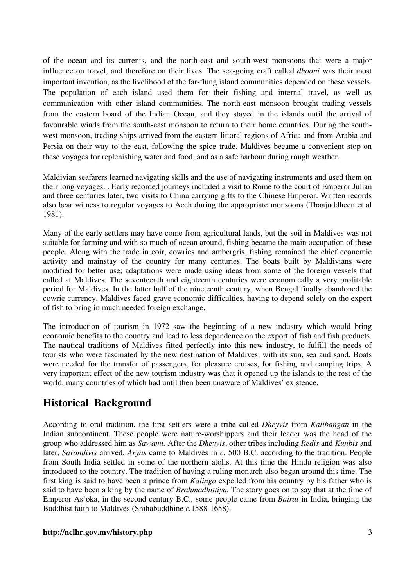of the ocean and its currents, and the north-east and south-west monsoons that were a major influence on travel, and therefore on their lives. The sea-going craft called *dhoani* was their most important invention, as the livelihood of the far-flung island communities depended on these vessels. The population of each island used them for their fishing and internal travel, as well as communication with other island communities. The north-east monsoon brought trading vessels from the eastern board of the Indian Ocean, and they stayed in the islands until the arrival of favourable winds from the south-east monsoon to return to their home countries. During the southwest monsoon, trading ships arrived from the eastern littoral regions of Africa and from Arabia and Persia on their way to the east, following the spice trade. Maldives became a convenient stop on these voyages for replenishing water and food, and as a safe harbour during rough weather.

Maldivian seafarers learned navigating skills and the use of navigating instruments and used them on their long voyages. . Early recorded journeys included a visit to Rome to the court of Emperor Julian and three centuries later, two visits to China carrying gifts to the Chinese Emperor. Written records also bear witness to regular voyages to Aceh during the appropriate monsoons (Thaajuddheen et al 1981).

Many of the early settlers may have come from agricultural lands, but the soil in Maldives was not suitable for farming and with so much of ocean around, fishing became the main occupation of these people. Along with the trade in coir, cowries and ambergris, fishing remained the chief economic activity and mainstay of the country for many centuries. The boats built by Maldivians were modified for better use; adaptations were made using ideas from some of the foreign vessels that called at Maldives. The seventeenth and eighteenth centuries were economically a very profitable period for Maldives. In the latter half of the nineteenth century, when Bengal finally abandoned the cowrie currency, Maldives faced grave economic difficulties, having to depend solely on the export of fish to bring in much needed foreign exchange.

The introduction of tourism in 1972 saw the beginning of a new industry which would bring economic benefits to the country and lead to less dependence on the export of fish and fish products. The nautical traditions of Maldives fitted perfectly into this new industry, to fulfill the needs of tourists who were fascinated by the new destination of Maldives, with its sun, sea and sand. Boats were needed for the transfer of passengers, for pleasure cruises, for fishing and camping trips. A very important effect of the new tourism industry was that it opened up the islands to the rest of the world, many countries of which had until then been unaware of Maldives' existence.

# **Historical Background**

According to oral tradition, the first settlers were a tribe called *Dheyvis* from *Kalibangan* in the Indian subcontinent. These people were nature-worshippers and their leader was the head of the group who addressed him as *Sawami.* After the *Dheyvis*, other tribes including *Redis* and *Kunbis* and later, *Sarandivis* arrived. *Aryas* came to Maldives in *c.* 500 B.C. according to the tradition. People from South India settled in some of the northern atolls. At this time the Hindu religion was also introduced to the country. The tradition of having a ruling monarch also began around this time. The first king is said to have been a prince from *Kalinga* expelled from his country by his father who is said to have been a king by the name of *Brahmadhittiya.* The story goes on to say that at the time of Emperor As'oka, in the second century B.C., some people came from *Bairat* in India, bringing the Buddhist faith to Maldives (Shihabuddhine *c.*1588-1658).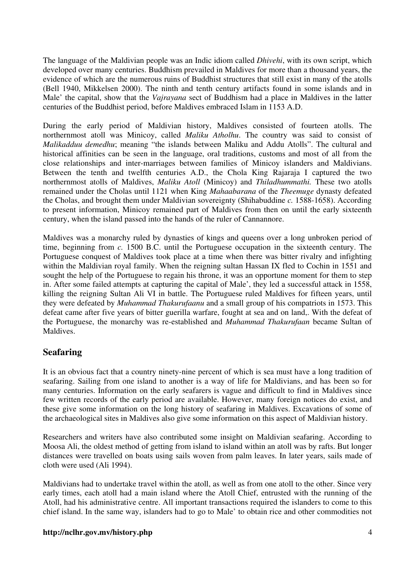The language of the Maldivian people was an Indic idiom called *Dhivehi*, with its own script, which developed over many centuries. Buddhism prevailed in Maldives for more than a thousand years, the evidence of which are the numerous ruins of Buddhist structures that still exist in many of the atolls (Bell 1940, Mikkelsen 2000). The ninth and tenth century artifacts found in some islands and in Male' the capital, show that the *Vajrayana* sect of Buddhism had a place in Maldives in the latter centuries of the Buddhist period, before Maldives embraced Islam in 1153 A.D.

During the early period of Maldivian history, Maldives consisted of fourteen atolls. The northernmost atoll was Minicoy, called *Maliku Atholhu*. The country was said to consist of *Malikadduu demedhu*; meaning "the islands between Maliku and Addu Atolls". The cultural and historical affinities can be seen in the language, oral traditions, customs and most of all from the close relationships and inter-marriages between families of Minicoy islanders and Maldivians. Between the tenth and twelfth centuries A.D., the Chola King Rajaraja I captured the two northernmost atolls of Maldives, *Maliku Atoll* (Minicoy) and *Thiladhummathi.* These two atolls remained under the Cholas until 1121 when King *Mahaabarana* of the *Theemuge* dynasty defeated the Cholas, and brought them under Maldivian sovereignty (Shihabuddine *c.* 1588-1658). According to present information, Minicoy remained part of Maldives from then on until the early sixteenth century, when the island passed into the hands of the ruler of Cannannore.

Maldives was a monarchy ruled by dynasties of kings and queens over a long unbroken period of time, beginning from *c.* 1500 B.C. until the Portuguese occupation in the sixteenth century. The Portuguese conquest of Maldives took place at a time when there was bitter rivalry and infighting within the Maldivian royal family. When the reigning sultan Hassan IX fled to Cochin in 1551 and sought the help of the Portuguese to regain his throne, it was an opportune moment for them to step in. After some failed attempts at capturing the capital of Male', they led a successful attack in 1558, killing the reigning Sultan Ali VI in battle. The Portuguese ruled Maldives for fifteen years, until they were defeated by *Muhammad Thakurufaanu* and a small group of his compatriots in 1573. This defeat came after five years of bitter guerilla warfare, fought at sea and on land,. With the defeat of the Portuguese, the monarchy was re-established and *Muhammad Thakurufaan* became Sultan of Maldives.

# **Seafaring**

It is an obvious fact that a country ninety-nine percent of which is sea must have a long tradition of seafaring. Sailing from one island to another is a way of life for Maldivians, and has been so for many centuries. Information on the early seafarers is vague and difficult to find in Maldives since few written records of the early period are available. However, many foreign notices do exist, and these give some information on the long history of seafaring in Maldives. Excavations of some of the archaeological sites in Maldives also give some information on this aspect of Maldivian history.

Researchers and writers have also contributed some insight on Maldivian seafaring. According to Moosa Ali, the oldest method of getting from island to island within an atoll was by rafts. But longer distances were travelled on boats using sails woven from palm leaves. In later years, sails made of cloth were used (Ali 1994).

Maldivians had to undertake travel within the atoll, as well as from one atoll to the other. Since very early times, each atoll had a main island where the Atoll Chief, entrusted with the running of the Atoll, had his administrative centre. All important transactions required the islanders to come to this chief island. In the same way, islanders had to go to Male' to obtain rice and other commodities not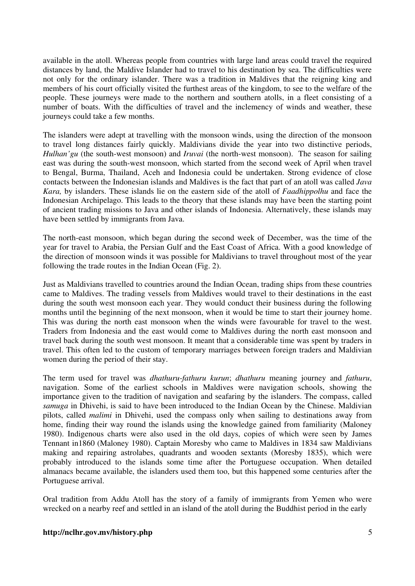available in the atoll. Whereas people from countries with large land areas could travel the required distances by land, the Maldive Islander had to travel to his destination by sea. The difficulties were not only for the ordinary islander. There was a tradition in Maldives that the reigning king and members of his court officially visited the furthest areas of the kingdom, to see to the welfare of the people. These journeys were made to the northern and southern atolls, in a fleet consisting of a number of boats. With the difficulties of travel and the inclemency of winds and weather, these journeys could take a few months.

The islanders were adept at travelling with the monsoon winds, using the direction of the monsoon to travel long distances fairly quickly. Maldivians divide the year into two distinctive periods, *Hulhan'gu* (the south-west monsoon) and *Iruvai* (the north-west monsoon). The season for sailing east was during the south-west monsoon, which started from the second week of April when travel to Bengal, Burma, Thailand, Aceh and Indonesia could be undertaken. Strong evidence of close contacts between the Indonesian islands and Maldives is the fact that part of an atoll was called *Java Kara,* by islanders. These islands lie on the eastern side of the atoll of *Faadhippolhu* and face the Indonesian Archipelago. This leads to the theory that these islands may have been the starting point of ancient trading missions to Java and other islands of Indonesia. Alternatively, these islands may have been settled by immigrants from Java.

The north-east monsoon, which began during the second week of December, was the time of the year for travel to Arabia, the Persian Gulf and the East Coast of Africa. With a good knowledge of the direction of monsoon winds it was possible for Maldivians to travel throughout most of the year following the trade routes in the Indian Ocean (Fig. 2).

Just as Maldivians travelled to countries around the Indian Ocean, trading ships from these countries came to Maldives. The trading vessels from Maldives would travel to their destinations in the east during the south west monsoon each year. They would conduct their business during the following months until the beginning of the next monsoon, when it would be time to start their journey home. This was during the north east monsoon when the winds were favourable for travel to the west. Traders from Indonesia and the east would come to Maldives during the north east monsoon and travel back during the south west monsoon. It meant that a considerable time was spent by traders in travel. This often led to the custom of temporary marriages between foreign traders and Maldivian women during the period of their stay.

The term used for travel was *dhathuru-fathuru kurun*; *dhathuru* meaning journey and *fathuru*, navigation. Some of the earliest schools in Maldives were navigation schools, showing the importance given to the tradition of navigation and seafaring by the islanders. The compass, called *samuga* in Dhivehi, is said to have been introduced to the Indian Ocean by the Chinese. Maldivian pilots, called *malimi* in Dhivehi, used the compass only when sailing to destinations away from home, finding their way round the islands using the knowledge gained from familiarity (Maloney 1980). Indigenous charts were also used in the old days, copies of which were seen by James Tennant in1860 (Maloney 1980). Captain Moresby who came to Maldives in 1834 saw Maldivians making and repairing astrolabes, quadrants and wooden sextants (Moresby 1835), which were probably introduced to the islands some time after the Portuguese occupation. When detailed almanacs became available, the islanders used them too, but this happened some centuries after the Portuguese arrival.

Oral tradition from Addu Atoll has the story of a family of immigrants from Yemen who were wrecked on a nearby reef and settled in an island of the atoll during the Buddhist period in the early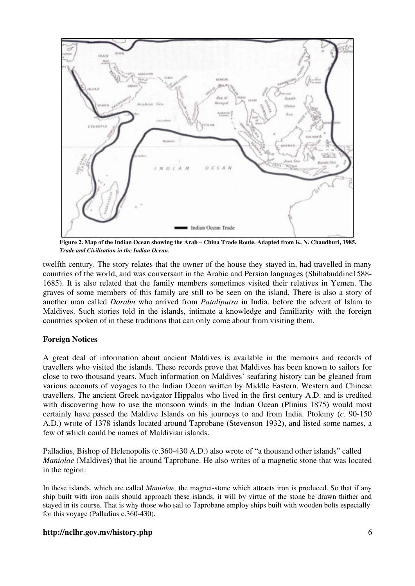

**Figure 2. Map of the Indian Ocean showing the Arab – China Trade Route. Adapted from K. N. Chaudhuri, 1985.**  *Trade and Civilisation in the Indian Ocean.*

twelfth century. The story relates that the owner of the house they stayed in, had travelled in many countries of the world, and was conversant in the Arabic and Persian languages (Shihabuddine1588- 1685). It is also related that the family members sometimes visited their relatives in Yemen. The graves of some members of this family are still to be seen on the island. There is also a story of another man called *Dorabu* who arrived from *Pataliputra* in India, before the advent of Islam to Maldives. Such stories told in the islands, intimate a knowledge and familiarity with the foreign countries spoken of in these traditions that can only come about from visiting them.

# **Foreign Notices**

A great deal of information about ancient Maldives is available in the memoirs and records of travellers who visited the islands. These records prove that Maldives has been known to sailors for close to two thousand years. Much information on Maldives' seafaring history can be gleaned from various accounts of voyages to the Indian Ocean written by Middle Eastern, Western and Chinese travellers. The ancient Greek navigator Hippalos who lived in the first century A.D. and is credited with discovering how to use the monsoon winds in the Indian Ocean (Plinius 1875) would most certainly have passed the Maldive Islands on his journeys to and from India. Ptolemy (*c.* 90-150 A.D.) wrote of 1378 islands located around Taprobane (Stevenson 1932), and listed some names, a few of which could be names of Maldivian islands.

Palladius, Bishop of Helenopolis (c.360-430 A.D.) also wrote of "a thousand other islands" called *Maniolae* (Maldives) that lie around Taprobane. He also writes of a magnetic stone that was located in the region:

In these islands, which are called *Maniolae,* the magnet-stone which attracts iron is produced. So that if any ship built with iron nails should approach these islands, it will by virtue of the stone be drawn thither and stayed in its course. That is why those who sail to Taprobane employ ships built with wooden bolts especially for this voyage (Palladius c.360-430).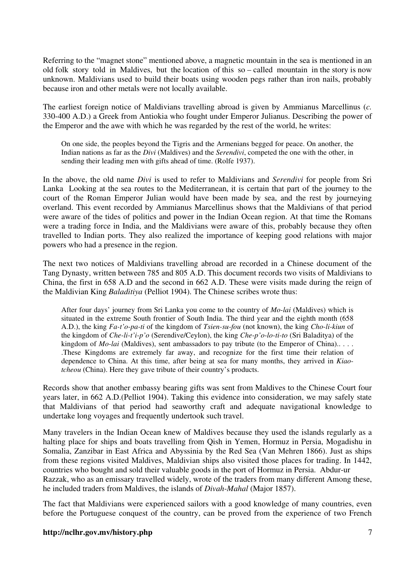Referring to the "magnet stone" mentioned above, a magnetic mountain in the sea is mentioned in an old folk story told in Maldives, but the location of this so – called mountain in the story is now unknown. Maldivians used to build their boats using wooden pegs rather than iron nails, probably because iron and other metals were not locally available.

The earliest foreign notice of Maldivians travelling abroad is given by Ammianus Marcellinus (*c.*  330-400 A.D.) a Greek from Antiokia who fought under Emperor Julianus. Describing the power of the Emperor and the awe with which he was regarded by the rest of the world, he writes:

On one side, the peoples beyond the Tigris and the Armenians begged for peace. On another, the Indian nations as far as the *Divi* (Maldives) and the *Serendivi*, competed the one with the other, in sending their leading men with gifts ahead of time. (Rolfe 1937).

In the above, the old name *Divi* is used to refer to Maldivians and *Serendivi* for people from Sri Lanka Looking at the sea routes to the Mediterranean, it is certain that part of the journey to the court of the Roman Emperor Julian would have been made by sea, and the rest by journeying overland. This event recorded by Ammianus Marcellinus shows that the Maldivians of that period were aware of the tides of politics and power in the Indian Ocean region. At that time the Romans were a trading force in India, and the Maldivians were aware of this, probably because they often travelled to Indian ports. They also realized the importance of keeping good relations with major powers who had a presence in the region.

The next two notices of Maldivians travelling abroad are recorded in a Chinese document of the Tang Dynasty, written between 785 and 805 A.D. This document records two visits of Maldivians to China, the first in 658 A.D and the second in 662 A.D. These were visits made during the reign of the Maldivian King *Baladitiya* (Pelliot 1904). The Chinese scribes wrote thus:

After four days' journey from Sri Lanka you come to the country of *Mo-lai* (Maldives) which is situated in the extreme South frontier of South India. The third year and the eighth month (658 A.D.), the king *Fa-t'o-pa-ti* of the kingdom of *Tsien-su-fou* (not known), the king *Cho-li-kiun* of the kingdom of *Che-li-t'i-p'o* (Serendive/Ceylon), the king *Che-p'o-lo-ti-to* (Sri Baladitya) of the kingdom of *Mo-lai* (Maldives), sent ambassadors to pay tribute (to the Emperor of China).. . . . .These Kingdoms are extremely far away, and recognize for the first time their relation of dependence to China. At this time, after being at sea for many months, they arrived in *Kiaotcheou* (China). Here they gave tribute of their country's products.

Records show that another embassy bearing gifts was sent from Maldives to the Chinese Court four years later, in 662 A.D.(Pelliot 1904). Taking this evidence into consideration, we may safely state that Maldivians of that period had seaworthy craft and adequate navigational knowledge to undertake long voyages and frequently undertook such travel.

Many travelers in the Indian Ocean knew of Maldives because they used the islands regularly as a halting place for ships and boats travelling from Qish in Yemen, Hormuz in Persia, Mogadishu in Somalia, Zanzibar in East Africa and Abyssinia by the Red Sea (Van Mehren 1866). Just as ships from these regions visited Maldives, Maldivian ships also visited those places for trading. In 1442, countries who bought and sold their valuable goods in the port of Hormuz in Persia. Abdur-ur Razzak, who as an emissary travelled widely, wrote of the traders from many different Among these, he included traders from Maldives, the islands of *Divah-Mahal* (Major 1857).

The fact that Maldivians were experienced sailors with a good knowledge of many countries, even before the Portuguese conquest of the country, can be proved from the experience of two French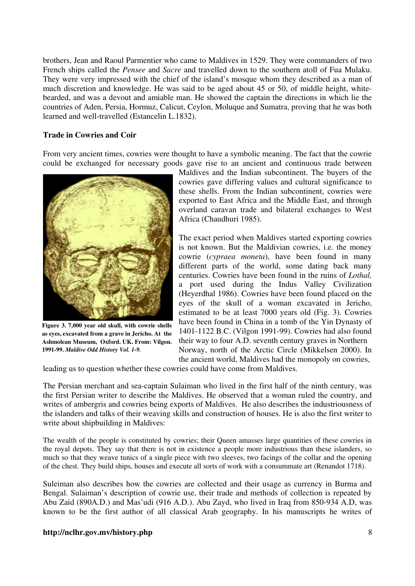brothers, Jean and Raoul Parmentier who came to Maldives in 1529. They were commanders of two French ships called the *Pensee* and *Sacre* and travelled down to the southern atoll of Fua Mulaku. They were very impressed with the chief of the island's mosque whom they described as a man of much discretion and knowledge. He was said to be aged about 45 or 50, of middle height, whitebearded, and was a devout and amiable man. He showed the captain the directions in which lie the countries of Aden, Persia, Hormuz, Calicut, Ceylon, Moluque and Sumatra, proving that he was both learned and well-travelled (Estancelin L.1832).

# **Trade in Cowries and Coir**

From very ancient times, cowries were thought to have a symbolic meaning. The fact that the cowrie could be exchanged for necessary goods gave rise to an ancient and continuous trade between



**Figure 3. 7,000 year old skull, with cowrie shells as eyes, excavated from a grave in Jericho. At the Ashmolean Museum, Oxford. UK. From: Vilgon. 1991-99.** *Maldive Odd History Vol. 1-9.*

Maldives and the Indian subcontinent. The buyers of the cowries gave differing values and cultural significance to these shells. From the Indian subcontinent, cowries were exported to East Africa and the Middle East, and through overland caravan trade and bilateral exchanges to West Africa (Chaudhuri 1985).

The exact period when Maldives started exporting cowries is not known. But the Maldivian cowries, i.e. the money cowrie (*cypraea moneta*), have been found in many different parts of the world, some dating back many centuries. Cowries have been found in the ruins of *Lothal,* a port used during the Indus Valley Civilization (Heyerdhal 1986). Cowries have been found placed on the eyes of the skull of a woman excavated in Jericho, estimated to be at least 7000 years old (Fig. 3). Cowries have been found in China in a tomb of the Yin Dynasty of 1401-1122 B.C. (Vilgon 1991-99). Cowries had also found their way to four A.D. seventh century graves in Northern Norway, north of the Arctic Circle (Mikkelsen 2000). In the ancient world, Maldives had the monopoly on cowries,

leading us to question whether these cowries could have come from Maldives.

The Persian merchant and sea-captain Sulaiman who lived in the first half of the ninth century, was the first Persian writer to describe the Maldives. He observed that a woman ruled the country, and writes of ambergris and cowries being exports of Maldives. He also describes the industriousness of the islanders and talks of their weaving skills and construction of houses. He is also the first writer to write about shipbuilding in Maldives:

The wealth of the people is constituted by cowries; their Queen amasses large quantities of these cowries in the royal depots. They say that there is not in existence a people more industrious than these islanders, so much so that they weave tunics of a single piece with two sleeves, two facings of the collar and the opening of the chest. They build ships, houses and execute all sorts of work with a consummate art (Renandot 1718).

Suleiman also describes how the cowries are collected and their usage as currency in Burma and Bengal. Sulaiman's description of cowrie use, their trade and methods of collection is repeated by Abu Zaid (890A.D.) and Mas'udi (916 A.D.). Abu Zayd, who lived in Iraq from 850-934 A.D, was known to be the first author of all classical Arab geography. In his manuscripts he writes of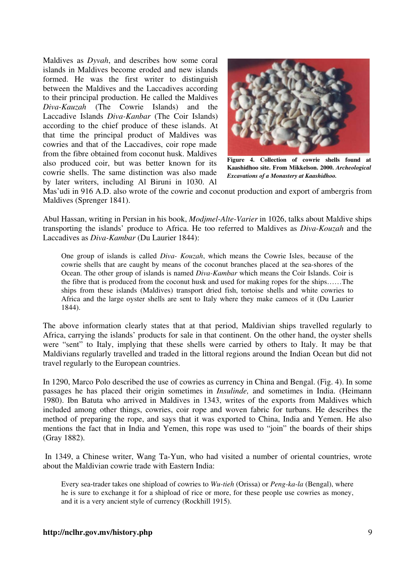Maldives as *Dyvah*, and describes how some coral islands in Maldives become eroded and new islands formed. He was the first writer to distinguish between the Maldives and the Laccadives according to their principal production. He called the Maldives *Diva-Kauzah* (The Cowrie Islands) and the Laccadive Islands *Diva-Kanbar* (The Coir Islands) according to the chief produce of these islands. At that time the principal product of Maldives was cowries and that of the Laccadives, coir rope made from the fibre obtained from coconut husk. Maldives also produced coir, but was better known for its cowrie shells. The same distinction was also made by later writers, including Al Biruni in 1030. Al



**Figure 4. Collection of cowrie shells found at Kaashidhoo site. From Mikkelson. 2000.** *Archeological Excavations of a Monastery at Kaashidhoo.* 

Mas'udi in 916 A.D. also wrote of the cowrie and coconut production and export of ambergris from Maldives (Sprenger 1841).

Abul Hassan, writing in Persian in his book, *Modjmel-Alte-Varier* in 1026, talks about Maldive ships transporting the islands' produce to Africa. He too referred to Maldives as *Diva-Kouzah* and the Laccadives as *Diva-Kambar* (Du Laurier 1844):

One group of islands is called *Diva- Kouzah*, which means the Cowrie Isles, because of the cowrie shells that are caught by means of the coconut branches placed at the sea-shores of the Ocean. The other group of islands is named *Diva-Kambar* which means the Coir Islands. Coir is the fibre that is produced from the coconut husk and used for making ropes for the ships……The ships from these islands (Maldives) transport dried fish, tortoise shells and white cowries to Africa and the large oyster shells are sent to Italy where they make cameos of it (Du Laurier 1844).

The above information clearly states that at that period, Maldivian ships travelled regularly to Africa, carrying the islands' products for sale in that continent. On the other hand, the oyster shells were "sent" to Italy, implying that these shells were carried by others to Italy. It may be that Maldivians regularly travelled and traded in the littoral regions around the Indian Ocean but did not travel regularly to the European countries.

In 1290, Marco Polo described the use of cowries as currency in China and Bengal. (Fig. 4). In some passages he has placed their origin sometimes in *Insulinde,* and sometimes in India. (Heimann 1980). Ibn Batuta who arrived in Maldives in 1343, writes of the exports from Maldives which included among other things, cowries, coir rope and woven fabric for turbans. He describes the method of preparing the rope, and says that it was exported to China, India and Yemen. He also mentions the fact that in India and Yemen, this rope was used to "join" the boards of their ships (Gray 1882).

 In 1349, a Chinese writer, Wang Ta-Yun, who had visited a number of oriental countries, wrote about the Maldivian cowrie trade with Eastern India:

Every sea-trader takes one shipload of cowries to *Wu-tieh* (Orissa) or *Peng-ka-la* (Bengal), where he is sure to exchange it for a shipload of rice or more, for these people use cowries as money, and it is a very ancient style of currency (Rockhill 1915).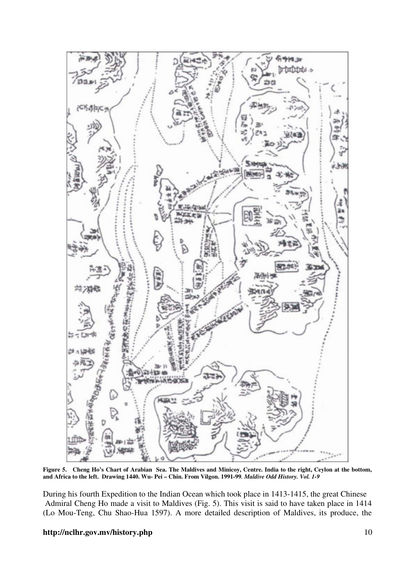

**Figure 5. Cheng Ho's Chart of Arabian Sea. The Maldives and Minicoy, Centre. India to the right, Ceylon at the bottom, and Africa to the left. Drawing 1440. Wu- Pei – Chin. From Vilgon. 1991-99***. Maldive Odd History. Vol. 1-9* 

During his fourth Expedition to the Indian Ocean which took place in 1413-1415, the great Chinese Admiral Cheng Ho made a visit to Maldives (Fig. 5). This visit is said to have taken place in 1414 (Lo Mou-Teng, Chu Shao-Hua 1597). A more detailed description of Maldives, its produce, the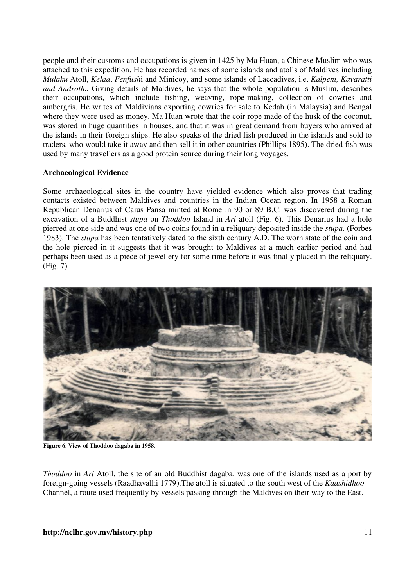people and their customs and occupations is given in 1425 by Ma Huan, a Chinese Muslim who was attached to this expedition. He has recorded names of some islands and atolls of Maldives including *Mulaku* Atoll, *Kelaa*, *Fenfush*i and Minicoy, and some islands of Laccadives, i.e. *Kalpeni, Kavaratti and Androth..* Giving details of Maldives, he says that the whole population is Muslim, describes their occupations, which include fishing, weaving, rope-making, collection of cowries and ambergris. He writes of Maldivians exporting cowries for sale to Kedah (in Malaysia) and Bengal where they were used as money. Ma Huan wrote that the coir rope made of the husk of the coconut, was stored in huge quantities in houses, and that it was in great demand from buyers who arrived at the islands in their foreign ships. He also speaks of the dried fish produced in the islands and sold to traders, who would take it away and then sell it in other countries (Phillips 1895). The dried fish was used by many travellers as a good protein source during their long voyages.

# **Archaeological Evidence**

Some archaeological sites in the country have yielded evidence which also proves that trading contacts existed between Maldives and countries in the Indian Ocean region. In 1958 a Roman Republican Denarius of Caius Pansa minted at Rome in 90 or 89 B.C. was discovered during the excavation of a Buddhist *stupa* on *Thoddoo* Island in *Ari* atoll (Fig. 6). This Denarius had a hole pierced at one side and was one of two coins found in a reliquary deposited inside the *stupa.* (Forbes 1983). The *stupa* has been tentatively dated to the sixth century A.D. The worn state of the coin and the hole pierced in it suggests that it was brought to Maldives at a much earlier period and had perhaps been used as a piece of jewellery for some time before it was finally placed in the reliquary. (Fig. 7).



**Figure 6. View of Thoddoo dagaba in 1958.** 

*Thoddoo* in *Ari* Atoll, the site of an old Buddhist dagaba, was one of the islands used as a port by foreign-going vessels (Raadhavalhi 1779).The atoll is situated to the south west of the *Kaashidhoo* Channel, a route used frequently by vessels passing through the Maldives on their way to the East.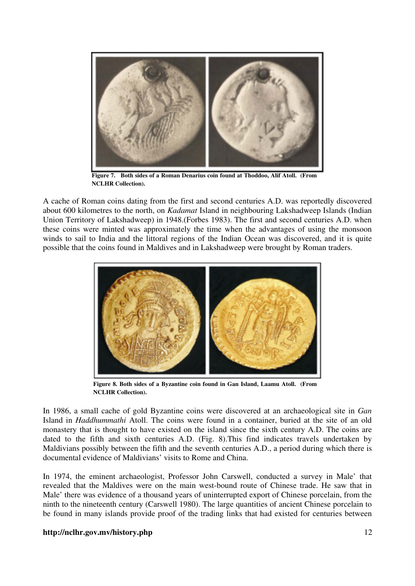

**Figure 7. Both sides of a Roman Denarius coin found at Thoddoo, Alif Atoll. (From NCLHR Collection).** 

A cache of Roman coins dating from the first and second centuries A.D. was reportedly discovered about 600 kilometres to the north, on *Kadamat* Island in neighbouring Lakshadweep Islands (Indian Union Territory of Lakshadweep) in 1948.(Forbes 1983). The first and second centuries A.D. when these coins were minted was approximately the time when the advantages of using the monsoon winds to sail to India and the littoral regions of the Indian Ocean was discovered, and it is quite possible that the coins found in Maldives and in Lakshadweep were brought by Roman traders.



**Figure 8. Both sides of a Byzantine coin found in Gan Island, Laamu Atoll. (From NCLHR Collection).** 

In 1986, a small cache of gold Byzantine coins were discovered at an archaeological site in *Gan*  Island in *Haddhummathi* Atoll. The coins were found in a container, buried at the site of an old monastery that is thought to have existed on the island since the sixth century A.D. The coins are dated to the fifth and sixth centuries A.D. (Fig. 8).This find indicates travels undertaken by Maldivians possibly between the fifth and the seventh centuries A.D., a period during which there is documental evidence of Maldivians' visits to Rome and China.

In 1974, the eminent archaeologist, Professor John Carswell, conducted a survey in Male' that revealed that the Maldives were on the main west-bound route of Chinese trade. He saw that in Male' there was evidence of a thousand years of uninterrupted export of Chinese porcelain, from the ninth to the nineteenth century (Carswell 1980). The large quantities of ancient Chinese porcelain to be found in many islands provide proof of the trading links that had existed for centuries between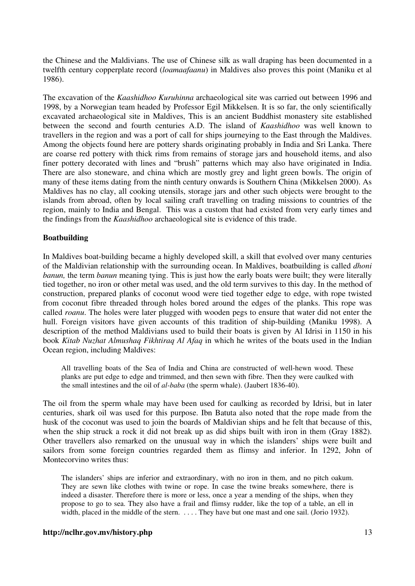the Chinese and the Maldivians. The use of Chinese silk as wall draping has been documented in a twelfth century copperplate record (*loamaafaanu*) in Maldives also proves this point (Maniku et al 1986).

The excavation of the *Kaashidhoo Kuruhinna* archaeological site was carried out between 1996 and 1998, by a Norwegian team headed by Professor Egil Mikkelsen. It is so far, the only scientifically excavated archaeological site in Maldives, This is an ancient Buddhist monastery site established between the second and fourth centuries A.D. The island of *Kaashidhoo* was well known to travellers in the region and was a port of call for ships journeying to the East through the Maldives. Among the objects found here are pottery shards originating probably in India and Sri Lanka. There are coarse red pottery with thick rims from remains of storage jars and household items, and also finer pottery decorated with lines and "brush" patterns which may also have originated in India. There are also stoneware, and china which are mostly grey and light green bowls. The origin of many of these items dating from the ninth century onwards is Southern China (Mikkelsen 2000). As Maldives has no clay, all cooking utensils, storage jars and other such objects were brought to the islands from abroad, often by local sailing craft travelling on trading missions to countries of the region, mainly to India and Bengal. This was a custom that had existed from very early times and the findings from the *Kaashidhoo* archaeological site is evidence of this trade.

#### **Boatbuilding**

In Maldives boat-building became a highly developed skill, a skill that evolved over many centuries of the Maldivian relationship with the surrounding ocean. In Maldives, boatbuilding is called *dhoni banun,* the term *banun* meaning tying. This is just how the early boats were built; they were literally tied together, no iron or other metal was used, and the old term survives to this day. In the method of construction, prepared planks of coconut wood were tied together edge to edge, with rope twisted from coconut fibre threaded through holes bored around the edges of the planks. This rope was called *roanu*. The holes were later plugged with wooden pegs to ensure that water did not enter the hull. Foreign visitors have given accounts of this tradition of ship-building (Maniku 1998). A description of the method Maldivians used to build their boats is given by Al Idrisi in 1150 in his book *Kitab Nuzhat Almushaq Fikhtiraq Al Afaq* in which he writes of the boats used in the Indian Ocean region, including Maldives:

All travelling boats of the Sea of India and China are constructed of well-hewn wood. These planks are put edge to edge and trimmed, and then sewn with fibre. Then they were caulked with the small intestines and the oil of *al-baba* (the sperm whale). (Jaubert 1836-40).

The oil from the sperm whale may have been used for caulking as recorded by Idrisi, but in later centuries, shark oil was used for this purpose. Ibn Batuta also noted that the rope made from the husk of the coconut was used to join the boards of Maldivian ships and he felt that because of this, when the ship struck a rock it did not break up as did ships built with iron in them (Gray 1882). Other travellers also remarked on the unusual way in which the islanders' ships were built and sailors from some foreign countries regarded them as flimsy and inferior. In 1292, John of Montecorvino writes thus:

The islanders' ships are inferior and extraordinary, with no iron in them, and no pitch oakum. They are sewn like clothes with twine or rope. In case the twine breaks somewhere, there is indeed a disaster. Therefore there is more or less, once a year a mending of the ships, when they propose to go to sea. They also have a frail and flimsy rudder, like the top of a table, an ell in width, placed in the middle of the stern. . . . . They have but one mast and one sail. (Jorio 1932).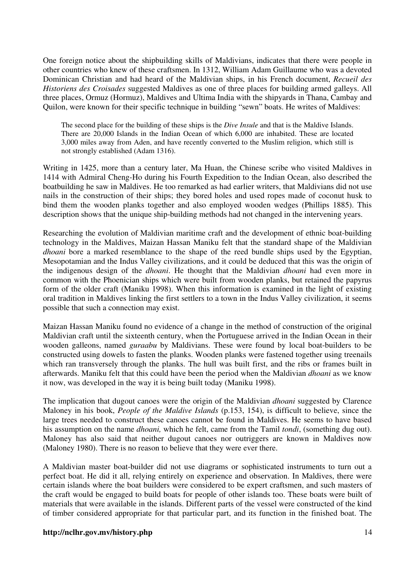One foreign notice about the shipbuilding skills of Maldivians, indicates that there were people in other countries who knew of these craftsmen. In 1312, William Adam Guillaume who was a devoted Dominican Christian and had heard of the Maldivian ships, in his French document, *Recueil des Historiens des Croisades* suggested Maldives as one of three places for building armed galleys. All three places, Ormuz (Hormuz), Maldives and Ultima India with the shipyards in Thana, Cambay and Quilon, were known for their specific technique in building "sewn" boats. He writes of Maldives:

The second place for the building of these ships is the *Dive Insule* and that is the Maldive Islands. There are 20,000 Islands in the Indian Ocean of which 6,000 are inhabited. These are located 3,000 miles away from Aden, and have recently converted to the Muslim religion, which still is not strongly established (Adam 1316).

Writing in 1425, more than a century later, Ma Huan, the Chinese scribe who visited Maldives in 1414 with Admiral Cheng-Ho during his Fourth Expedition to the Indian Ocean, also described the boatbuilding he saw in Maldives. He too remarked as had earlier writers, that Maldivians did not use nails in the construction of their ships; they bored holes and used ropes made of coconut husk to bind them the wooden planks together and also employed wooden wedges (Phillips 1885). This description shows that the unique ship-building methods had not changed in the intervening years.

Researching the evolution of Maldivian maritime craft and the development of ethnic boat-building technology in the Maldives, Maizan Hassan Maniku felt that the standard shape of the Maldivian *dhoani* bore a marked resemblance to the shape of the reed bundle ships used by the Egyptian, Mesopotamian and the Indus Valley civilizations, and it could be deduced that this was the origin of the indigenous design of the *dhoani*. He thought that the Maldivian *dhoani* had even more in common with the Phoenician ships which were built from wooden planks, but retained the papyrus form of the older craft (Maniku 1998). When this information is examined in the light of existing oral tradition in Maldives linking the first settlers to a town in the Indus Valley civilization, it seems possible that such a connection may exist.

Maizan Hassan Maniku found no evidence of a change in the method of construction of the original Maldivian craft until the sixteenth century, when the Portuguese arrived in the Indian Ocean in their wooden galleons, named *guraabu* by Maldivians. These were found by local boat-builders to be constructed using dowels to fasten the planks. Wooden planks were fastened together using treenails which ran transversely through the planks. The hull was built first, and the ribs or frames built in afterwards. Maniku felt that this could have been the period when the Maldivian *dhoani* as we know it now, was developed in the way it is being built today (Maniku 1998).

The implication that dugout canoes were the origin of the Maldivian *dhoani* suggested by Clarence Maloney in his book, *People of the Maldive Islands* (p.153, 154), is difficult to believe, since the large trees needed to construct these canoes cannot be found in Maldives. He seems to have based his assumption on the name *dhoani,* which he felt, came from the Tamil *tondi*, (something dug out). Maloney has also said that neither dugout canoes nor outriggers are known in Maldives now (Maloney 1980). There is no reason to believe that they were ever there.

A Maldivian master boat-builder did not use diagrams or sophisticated instruments to turn out a perfect boat. He did it all, relying entirely on experience and observation. In Maldives, there were certain islands where the boat builders were considered to be expert craftsmen, and such masters of the craft would be engaged to build boats for people of other islands too. These boats were built of materials that were available in the islands. Different parts of the vessel were constructed of the kind of timber considered appropriate for that particular part, and its function in the finished boat. The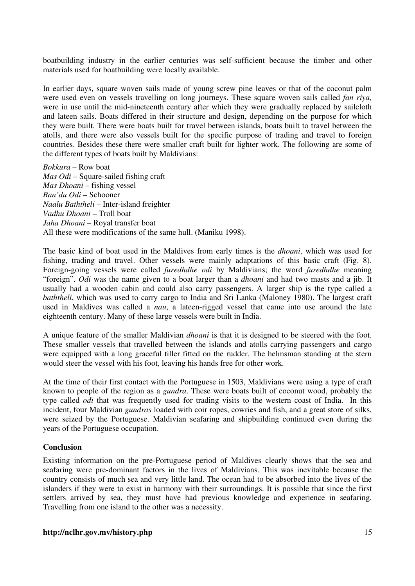boatbuilding industry in the earlier centuries was self-sufficient because the timber and other materials used for boatbuilding were locally available.

In earlier days, square woven sails made of young screw pine leaves or that of the coconut palm were used even on vessels travelling on long journeys. These square woven sails called *fan riya,* were in use until the mid-nineteenth century after which they were gradually replaced by sailcloth and lateen sails. Boats differed in their structure and design, depending on the purpose for which they were built. There were boats built for travel between islands, boats built to travel between the atolls, and there were also vessels built for the specific purpose of trading and travel to foreign countries. Besides these there were smaller craft built for lighter work. The following are some of the different types of boats built by Maldivians:

*Bokkura* – Row boat *Mas Odi* – Square-sailed fishing craft *Mas Dhoani* – fishing vessel *Ban'du Odi* – Schooner *Naalu Baththeli* – Inter-island freighter *Vadhu Dhoani* – Troll boat *Jaha Dhoani* – Royal transfer boat All these were modifications of the same hull. (Maniku 1998).

The basic kind of boat used in the Maldives from early times is the *dhoani*, which was used for fishing, trading and travel. Other vessels were mainly adaptations of this basic craft (Fig. 8). Foreign-going vessels were called *furedhdhe odi* by Maldivians; the word *furedhdhe* meaning "foreign". *Odi* was the name given to a boat larger than a *dhoani* and had two masts and a jib. It usually had a wooden cabin and could also carry passengers. A larger ship is the type called a *baththeli*, which was used to carry cargo to India and Sri Lanka (Maloney 1980). The largest craft used in Maldives was called a *nau*, a lateen-rigged vessel that came into use around the late eighteenth century. Many of these large vessels were built in India.

A unique feature of the smaller Maldivian *dhoani* is that it is designed to be steered with the foot. These smaller vessels that travelled between the islands and atolls carrying passengers and cargo were equipped with a long graceful tiller fitted on the rudder. The helmsman standing at the stern would steer the vessel with his foot, leaving his hands free for other work.

At the time of their first contact with the Portuguese in 1503, Maldivians were using a type of craft known to people of the region as a *gundra*. These were boats built of coconut wood, probably the type called *odi* that was frequently used for trading visits to the western coast of India. In this incident, four Maldivian *gundras* loaded with coir ropes, cowries and fish, and a great store of silks, were seized by the Portuguese. Maldivian seafaring and shipbuilding continued even during the years of the Portuguese occupation.

#### **Conclusion**

Existing information on the pre-Portuguese period of Maldives clearly shows that the sea and seafaring were pre-dominant factors in the lives of Maldivians. This was inevitable because the country consists of much sea and very little land. The ocean had to be absorbed into the lives of the islanders if they were to exist in harmony with their surroundings. It is possible that since the first settlers arrived by sea, they must have had previous knowledge and experience in seafaring. Travelling from one island to the other was a necessity.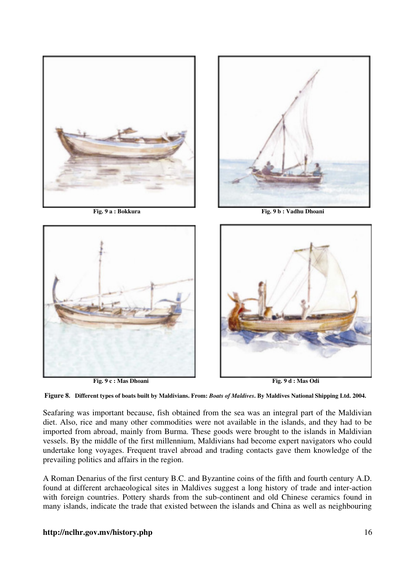



 **Fig. 9 a : Bokkura Fig. 9 b : Vadhu Dhoani**



 **Fig. 9 c : Mas Dhoani Fig. 9 d : Mas Odi**





Seafaring was important because, fish obtained from the sea was an integral part of the Maldivian diet. Also, rice and many other commodities were not available in the islands, and they had to be imported from abroad, mainly from Burma. These goods were brought to the islands in Maldivian vessels. By the middle of the first millennium, Maldivians had become expert navigators who could undertake long voyages. Frequent travel abroad and trading contacts gave them knowledge of the prevailing politics and affairs in the region.

A Roman Denarius of the first century B.C. and Byzantine coins of the fifth and fourth century A.D. found at different archaeological sites in Maldives suggest a long history of trade and inter-action with foreign countries. Pottery shards from the sub-continent and old Chinese ceramics found in many islands, indicate the trade that existed between the islands and China as well as neighbouring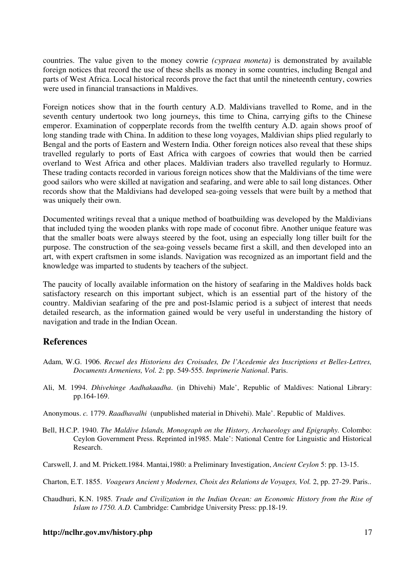countries. The value given to the money cowrie *(cypraea moneta)* is demonstrated by available foreign notices that record the use of these shells as money in some countries, including Bengal and parts of West Africa. Local historical records prove the fact that until the nineteenth century, cowries were used in financial transactions in Maldives.

Foreign notices show that in the fourth century A.D. Maldivians travelled to Rome, and in the seventh century undertook two long journeys, this time to China, carrying gifts to the Chinese emperor. Examination of copperplate records from the twelfth century A.D. again shows proof of long standing trade with China. In addition to these long voyages, Maldivian ships plied regularly to Bengal and the ports of Eastern and Western India. Other foreign notices also reveal that these ships travelled regularly to ports of East Africa with cargoes of cowries that would then be carried overland to West Africa and other places. Maldivian traders also travelled regularly to Hormuz. These trading contacts recorded in various foreign notices show that the Maldivians of the time were good sailors who were skilled at navigation and seafaring, and were able to sail long distances. Other records show that the Maldivians had developed sea-going vessels that were built by a method that was uniquely their own.

Documented writings reveal that a unique method of boatbuilding was developed by the Maldivians that included tying the wooden planks with rope made of coconut fibre. Another unique feature was that the smaller boats were always steered by the foot, using an especially long tiller built for the purpose. The construction of the sea-going vessels became first a skill, and then developed into an art, with expert craftsmen in some islands. Navigation was recognized as an important field and the knowledge was imparted to students by teachers of the subject.

The paucity of locally available information on the history of seafaring in the Maldives holds back satisfactory research on this important subject, which is an essential part of the history of the country. Maldivian seafaring of the pre and post-Islamic period is a subject of interest that needs detailed research, as the information gained would be very useful in understanding the history of navigation and trade in the Indian Ocean.

# **References**

- Adam, W.G. 1906. *Recuel des Historiens des Croisades, De l'Acedemie des Inscriptions et Belles-Lettres, Documents Armeniens, Vol. 2*: pp. 549-555*. Imprimerie National*. Paris.
- Ali, M. 1994. *Dhivehinge Aadhakaadha*. (in Dhivehi) Male', Republic of Maldives: National Library: pp.164-169.
- Anonymous. *c.* 1779. *Raadhavalhi* (unpublished material in Dhivehi). Male'. Republic of Maldives.
- Bell, H.C.P. 1940. *The Maldive Islands, Monograph on the History, Archaeology and Epigraphy.* Colombo: Ceylon Government Press. Reprinted in1985. Male': National Centre for Linguistic and Historical Research.
- Carswell, J. and M. Prickett.1984. Mantai,1980: a Preliminary Investigation, *Ancient Ceylon* 5: pp. 13-15.

Charton, E.T. 1855. *Voageurs Ancient y Modernes, Choix des Relations de Voyages, Vol.* 2, pp. 27-29. Paris..

Chaudhuri, K.N. 1985*. Trade and Civilization in the Indian Ocean: an Economic History from the Rise of Islam to 1750. A.D.* Cambridge: Cambridge University Press: pp.18-19.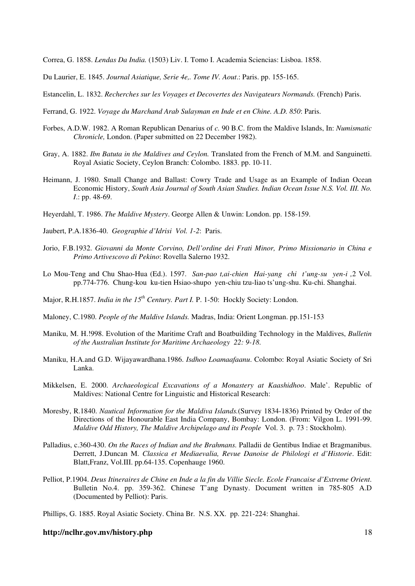Correa, G. 1858. *Lendas Da India.* (1503) Liv. I. Tomo I. Academia Sciencias: Lisboa. 1858.

Du Laurier, E. 1845. *Journal Asiatique, Serie 4e,. Tome IV. Aout*.: Paris. pp. 155-165.

Estancelin, L. 1832. *Recherches sur les Voyages et Decovertes des Navigateurs Normands.* (French) Paris.

- Ferrand, G. 1922. *Voyage du Marchand Arab Sulayman en Inde et en Chine. A.D. 850*: Paris.
- Forbes, A.D.W. 1982. A Roman Republican Denarius of *c.* 90 B.C. from the Maldive Islands, In: *Numismatic Chronicle,* London. (Paper submitted on 22 December 1982).
- Gray, A. 1882. *Ibn Batuta in the Maldives and Ceylon.* Translated from the French of M.M. and Sanguinetti. Royal Asiatic Society, Ceylon Branch: Colombo. 1883. pp. 10-11.
- Heimann, J. 1980. Small Change and Ballast: Cowry Trade and Usage as an Example of Indian Ocean Economic History, *South Asia Journal of South Asian Studies. Indian Ocean Issue N.S. Vol. III. No. I*.: pp. 48-69.
- Heyerdahl, T. 1986. *The Maldive Mystery*. George Allen & Unwin: London. pp. 158-159.
- Jaubert, P.A.1836-40. *Geographie d'Idrisi Vol. 1-2*: Paris.
- Jorio, F.B.1932. *Giovanni da Monte Corvino, Dell'ordine dei Frati Minor, Primo Missionario in China e Primo Artivescovo di Pekino*: Rovella Salerno 1932.
- Lo Mou-Teng and Chu Shao-Hua (Ed.). 1597. *San-pao t,ai-chien Hai-yang chi t'ung-su yen-i ,*2 Vol. pp.774-776. Chung-kou ku-tien Hsiao-shupo yen-chiu tzu-liao ts'ung-shu. Ku-chi. Shanghai.
- Major, R.H.1857. *India in the 15th Century. Part I.* P. 1-50: Hockly Society: London.
- Maloney, C.1980. *People of the Maldive Islands.* Madras, India: Orient Longman. pp.151-153
- Maniku, M. H.!998. Evolution of the Maritime Craft and Boatbuilding Technology in the Maldives, *Bulletin of the Australian Institute for Maritime Archaeology 22: 9-18*.
- Maniku, H.A.and G.D. Wijayawardhana.1986. *Isdhoo Loamaafaanu*. Colombo: Royal Asiatic Society of Sri Lanka.
- Mikkelsen, E. 2000. *Archaeological Excavations of a Monastery at Kaashidhoo*. Male'. Republic of Maldives: National Centre for Linguistic and Historical Research:
- Moresby, R.1840. *Nautical Information for the Maldiva Islands.*(Survey 1834-1836) Printed by Order of the Directions of the Honourable East India Company, Bombay: London. (From: Vilgon L. 1991-99. *Maldive Odd History, The Maldive Archipelago and its People* Vol. 3. p. 73 : Stockholm).
- Palladius, c.360-430. *On the Races of Indian and the Brahmans.* Palladii de Gentibus Indiae et Bragmanibus. Derrett, J.Duncan M. *Classica et Mediaevalia, Revue Danoise de Philologi et d'Historie*. Edit: Blatt,Franz, Vol.III. pp.64-135. Copenhauge 1960.
- Pelliot, P.1904. *Deus Itineraires de Chine en Inde a la fin du Villie Siecle. Ecole Francaise d'Extreme Orient*. Bulletin No.4. pp. 359-362. Chinese T'ang Dynasty. Document written in 785-805 A.D (Documented by Pelliot): Paris.
- Phillips, G. 1885. Royal Asiatic Society. China Br. N.S. XX. pp. 221-224: Shanghai.